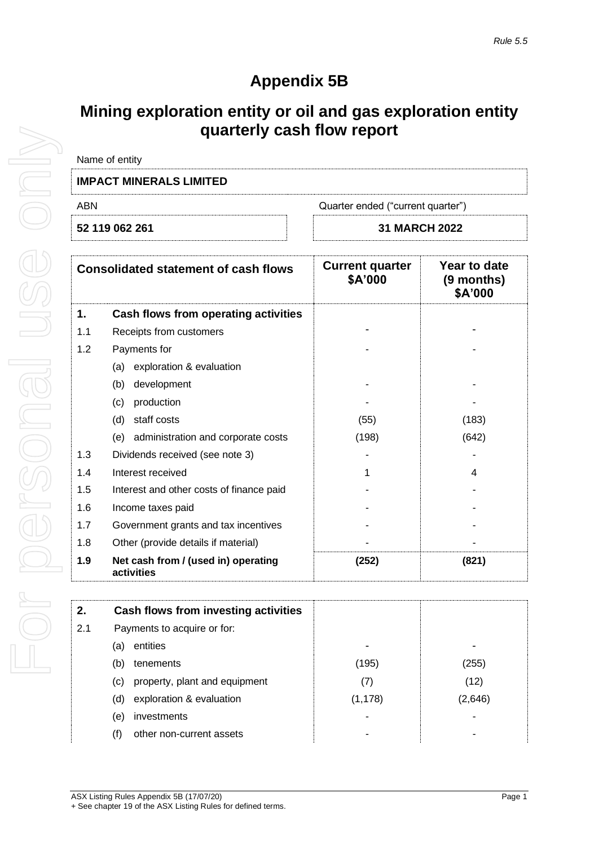## **Appendix 5B**

## **Mining exploration entity or oil and gas exploration entity quarterly cash flow report**

| Name of entity                           |                      |
|------------------------------------------|----------------------|
| <b>IMPACT MINERALS LIMITED</b>           |                      |
| ABN<br>Quarter ended ("current quarter") |                      |
| 52 119 062 261                           | <b>31 MARCH 2022</b> |

|     | <b>Consolidated statement of cash flows</b>       | <b>Current quarter</b><br>\$A'000 | Year to date<br>(9 months)<br>\$A'000 |
|-----|---------------------------------------------------|-----------------------------------|---------------------------------------|
| 1.  | Cash flows from operating activities              |                                   |                                       |
| 1.1 | Receipts from customers                           |                                   |                                       |
| 1.2 | Payments for                                      |                                   |                                       |
|     | exploration & evaluation<br>(a)                   |                                   |                                       |
|     | development<br>(b)                                |                                   |                                       |
|     | production<br>(c)                                 |                                   |                                       |
|     | staff costs<br>(d)                                | (55)                              | (183)                                 |
|     | (e) administration and corporate costs            | (198)                             | (642)                                 |
| 1.3 | Dividends received (see note 3)                   |                                   |                                       |
| 1.4 | Interest received                                 | 1                                 | 4                                     |
| 1.5 | Interest and other costs of finance paid          |                                   |                                       |
| 1.6 | Income taxes paid                                 |                                   |                                       |
| 1.7 | Government grants and tax incentives              |                                   |                                       |
| 1.8 | Other (provide details if material)               |                                   |                                       |
| 1.9 | Net cash from / (used in) operating<br>activities | (252)                             | (821)                                 |

| 2.  | Cash flows from investing activities |          |         |
|-----|--------------------------------------|----------|---------|
| 2.1 | Payments to acquire or for:          |          |         |
| (a) | entities                             |          |         |
| (b) | tenements                            | (195)    | (255)   |
| (C) | property, plant and equipment        | (7)      | (12)    |
| (d) | exploration & evaluation             | (1, 178) | (2,646) |
| (e) | investments                          |          |         |
| (f) | other non-current assets             |          |         |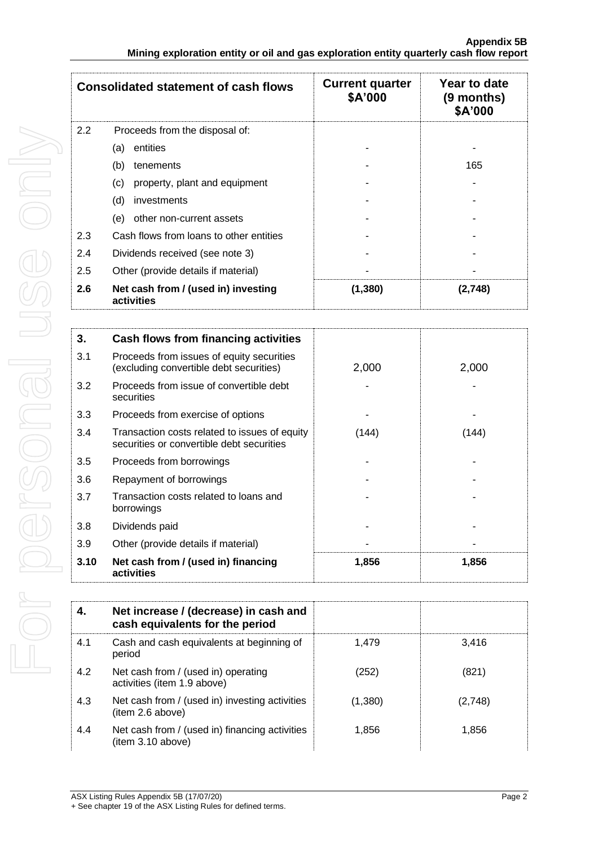|               | <b>Consolidated statement of cash flows</b>       | <b>Current quarter</b><br>\$A'000 | Year to date<br>(9 months)<br>\$A'000 |
|---------------|---------------------------------------------------|-----------------------------------|---------------------------------------|
| $2.2^{\circ}$ | Proceeds from the disposal of:                    |                                   |                                       |
|               | entities<br>(a)                                   |                                   |                                       |
|               | (b)<br>tenements                                  |                                   | 165                                   |
|               | (c)<br>property, plant and equipment              |                                   |                                       |
|               | (d)<br>investments                                |                                   |                                       |
|               | other non-current assets<br>(e)                   |                                   |                                       |
| 2.3           | Cash flows from loans to other entities           |                                   |                                       |
| 2.4           | Dividends received (see note 3)                   |                                   |                                       |
| 2.5           | Other (provide details if material)               |                                   |                                       |
| 2.6           | Net cash from / (used in) investing<br>activities | (1, 380)                          | (2,748)                               |

| 3.   | Cash flows from financing activities                                                       |       |       |
|------|--------------------------------------------------------------------------------------------|-------|-------|
| 3.1  | Proceeds from issues of equity securities<br>(excluding convertible debt securities)       | 2,000 | 2,000 |
| 3.2  | Proceeds from issue of convertible debt<br>securities                                      |       |       |
| 3.3  | Proceeds from exercise of options                                                          |       |       |
| 3.4  | Transaction costs related to issues of equity<br>securities or convertible debt securities | (144) | (144) |
| 3.5  | Proceeds from borrowings                                                                   |       |       |
| 3.6  | Repayment of borrowings                                                                    |       |       |
| 3.7  | Transaction costs related to loans and<br>borrowings                                       |       |       |
| 3.8  | Dividends paid                                                                             |       |       |
| 3.9  | Other (provide details if material)                                                        |       |       |
| 3.10 | Net cash from / (used in) financing<br>activities                                          | 1,856 | 1,856 |

| 4.  | Net increase / (decrease) in cash and<br>cash equivalents for the period |         |         |
|-----|--------------------------------------------------------------------------|---------|---------|
| 4.1 | Cash and cash equivalents at beginning of<br>period                      | 1.479   | 3.416   |
| 4.2 | Net cash from / (used in) operating<br>activities (item 1.9 above)       | (252)   | (821)   |
| 4.3 | Net cash from / (used in) investing activities<br>item 2.6 above)        | (1,380) | (2,748) |
| 4.4 | Net cash from / (used in) financing activities<br>(item 3.10 above)      | 1.856   | 1.856   |

ASX Listing Rules Appendix 5B (17/07/20) Page 2

<sup>+</sup> See chapter 19 of the ASX Listing Rules for defined terms.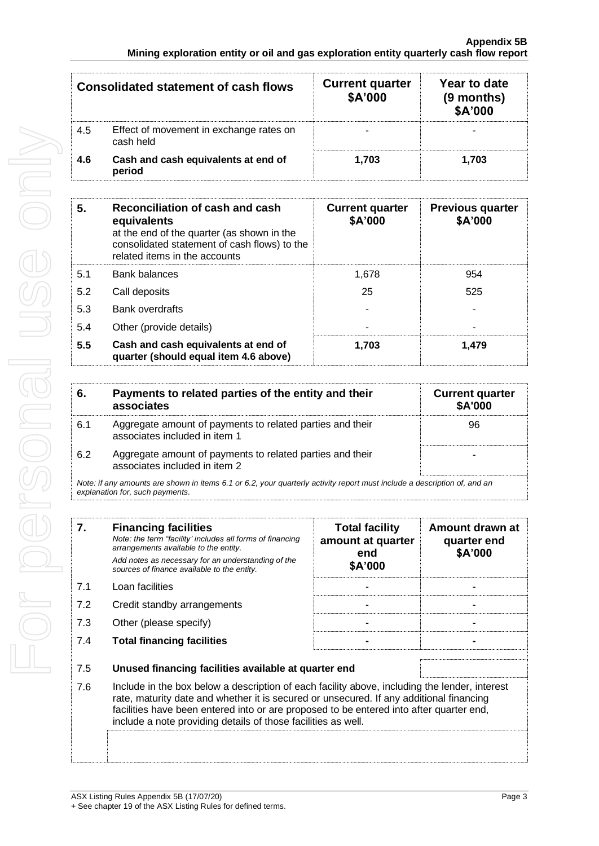|     | <b>Consolidated statement of cash flows</b>          | <b>Current quarter</b><br>\$A'000 | Year to date<br>(9 months)<br>\$A'000 |
|-----|------------------------------------------------------|-----------------------------------|---------------------------------------|
| 4.5 | Effect of movement in exchange rates on<br>cash held |                                   |                                       |
| 4.6 | Cash and cash equivalents at end of<br>period        | 1.703                             | 1.703                                 |

| 5.  | Reconciliation of cash and cash<br>equivalents<br>at the end of the quarter (as shown in the<br>consolidated statement of cash flows) to the<br>related items in the accounts | <b>Current quarter</b><br>\$A'000 | <b>Previous quarter</b><br>\$A'000 |
|-----|-------------------------------------------------------------------------------------------------------------------------------------------------------------------------------|-----------------------------------|------------------------------------|
| 5.1 | <b>Bank balances</b>                                                                                                                                                          | 1.678                             | 954                                |
| 5.2 | Call deposits                                                                                                                                                                 | 25                                | 525                                |
| 5.3 | <b>Bank overdrafts</b>                                                                                                                                                        |                                   |                                    |
| 5.4 | Other (provide details)                                                                                                                                                       |                                   |                                    |
| 5.5 | Cash and cash equivalents at end of<br>quarter (should equal item 4.6 above)                                                                                                  | 1.703                             | 1.479                              |

| 6.                                                                                                                       | Payments to related parties of the entity and their<br>associates                          | <b>Current quarter</b><br><b>\$A'000</b> |
|--------------------------------------------------------------------------------------------------------------------------|--------------------------------------------------------------------------------------------|------------------------------------------|
| 6.1                                                                                                                      | Aggregate amount of payments to related parties and their<br>associates included in item 1 | 96                                       |
| 6.2                                                                                                                      | Aggregate amount of payments to related parties and their<br>associates included in item 2 |                                          |
| Note: if any amounts are shown in items 6.1 or 6.2, your quarterly activity report must include a description of, and an |                                                                                            |                                          |

*explanation for, such payments.*

| 7.         | <b>Financing facilities</b><br>Note: the term "facility' includes all forms of financing<br>arrangements available to the entity.<br>Add notes as necessary for an understanding of the<br>sources of finance available to the entity.                                                                                                                                                                       | <b>Total facility</b><br>amount at quarter<br>end<br>\$A'000 | Amount drawn at<br>quarter end<br>\$A'000 |
|------------|--------------------------------------------------------------------------------------------------------------------------------------------------------------------------------------------------------------------------------------------------------------------------------------------------------------------------------------------------------------------------------------------------------------|--------------------------------------------------------------|-------------------------------------------|
| 7.1        | Loan facilities                                                                                                                                                                                                                                                                                                                                                                                              |                                                              |                                           |
| 7.2        | Credit standby arrangements                                                                                                                                                                                                                                                                                                                                                                                  |                                                              |                                           |
| 7.3        | Other (please specify)                                                                                                                                                                                                                                                                                                                                                                                       |                                                              |                                           |
| 7.4        | <b>Total financing facilities</b>                                                                                                                                                                                                                                                                                                                                                                            |                                                              |                                           |
| 7.5<br>7.6 | Unused financing facilities available at quarter end<br>Include in the box below a description of each facility above, including the lender, interest<br>rate, maturity date and whether it is secured or unsecured. If any additional financing<br>facilities have been entered into or are proposed to be entered into after quarter end,<br>include a note providing details of those facilities as well. |                                                              |                                           |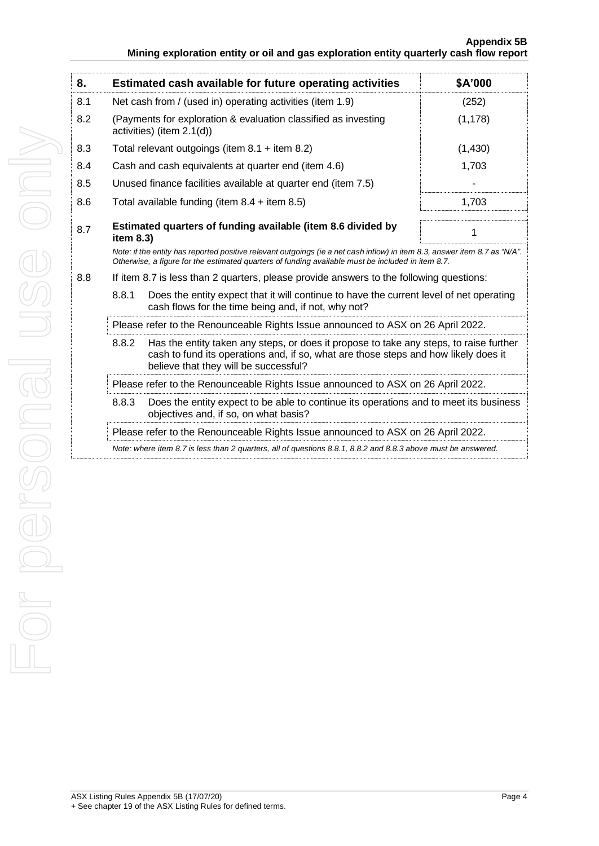| 8.  | Estimated cash available for future operating activities                                                                                                                                                                        | \$A'000  |  |
|-----|---------------------------------------------------------------------------------------------------------------------------------------------------------------------------------------------------------------------------------|----------|--|
| 8.1 | Net cash from / (used in) operating activities (item 1.9)                                                                                                                                                                       | (252)    |  |
| 8.2 | (Payments for exploration & evaluation classified as investing<br>activities) (item 2.1(d))                                                                                                                                     | (1, 178) |  |
| 8.3 | Total relevant outgoings (item $8.1 +$ item $8.2$ )                                                                                                                                                                             | (1,430)  |  |
| 8.4 | Cash and cash equivalents at quarter end (item 4.6)                                                                                                                                                                             | 1,703    |  |
| 8.5 | Unused finance facilities available at quarter end (item 7.5)                                                                                                                                                                   |          |  |
| 8.6 | Total available funding (item $8.4 +$ item $8.5$ )                                                                                                                                                                              | 1,703    |  |
| 8.7 | Estimated quarters of funding available (item 8.6 divided by<br>item 8.3)                                                                                                                                                       | 1        |  |
|     | Note: if the entity has reported positive relevant outgoings (ie a net cash inflow) in item 8.3, answer item 8.7 as "N/A".<br>Otherwise, a figure for the estimated quarters of funding available must be included in item 8.7. |          |  |
| 8.8 | If item 8.7 is less than 2 quarters, please provide answers to the following questions:                                                                                                                                         |          |  |
|     | 8.8.1<br>Does the entity expect that it will continue to have the current level of net operating<br>cash flows for the time being and, if not, why not?                                                                         |          |  |
|     | Please refer to the Renounceable Rights Issue announced to ASX on 26 April 2022.                                                                                                                                                |          |  |
|     | Has the entity taken any steps, or does it propose to take any steps, to raise further<br>8.8.2<br>cash to fund its operations and, if so, what are those steps and how likely does it<br>believe that they will be successful? |          |  |
|     | Please refer to the Renounceable Rights Issue announced to ASX on 26 April 2022.                                                                                                                                                |          |  |
|     | 8.8.3<br>Does the entity expect to be able to continue its operations and to meet its business<br>objectives and, if so, on what basis?                                                                                         |          |  |
|     | Please refer to the Renounceable Rights Issue announced to ASX on 26 April 2022.                                                                                                                                                |          |  |
|     | Note: where item 8.7 is less than 2 quarters, all of questions 8.8.1, 8.8.2 and 8.8.3 above must be answered.                                                                                                                   |          |  |